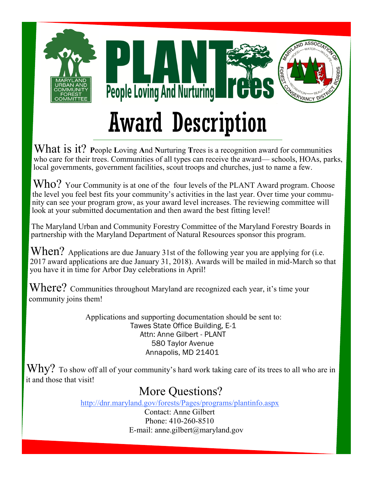

What is it? **P**eople **L**oving **A**nd **N**urturing **T**rees is a recognition award for communities who care for their trees. Communities of all types can receive the award— schools, HOAs, parks, local governments, government facilities, scout troops and churches, just to name a few.

Who? Your Community is at one of the four levels of the PLANT Award program. Choose the level you feel best fits your community's activities in the last year. Over time your community can see your program grow, as your award level increases. The reviewing committee will look at your submitted documentation and then award the best fitting level!

The Maryland Urban and Community Forestry Committee of the Maryland Forestry Boards in partnership with the Maryland Department of Natural Resources sponsor this program.

When? Applications are due January 31st of the following year you are applying for (i.e. 2017 award applications are due January 31, 2018). Awards will be mailed in mid-March so that you have it in time for Arbor Day celebrations in April!

Where? Communities throughout Maryland are recognized each year, it's time your community joins them!

> Applications and supporting documentation should be sent to: Tawes State Office Building, E-1 Attn: Anne Gilbert - PLANT 580 Taylor Avenue Annapolis, MD 21401

 $\operatorname{Why?}$  To show off all of your community's hard work taking care of its trees to all who are in it and those that visit!

# More Questions?

http://dnr.maryland.gov/forests/Pages/programs/plantinfo.aspx

Contact: Anne Gilbert Phone: 410-260-8510 E-mail: anne.gilbert@maryland.gov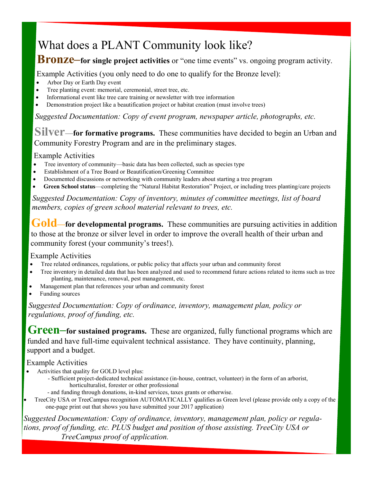# What does a PLANT Community look like?

# **Bronze–for single project activities** or "one time events" vs. ongoing program activity.

Example Activities (you only need to do one to qualify for the Bronze level):

- Arbor Day or Earth Day event
- Tree planting event: memorial, ceremonial, street tree, etc.
- Informational event like tree care training or newsletter with tree information
- Demonstration project like a beautification project or habitat creation (must involve trees)

*Suggested Documentation: Copy of event program, newspaper article, photographs, etc.*

## **Silver—for formative programs.** These communities have decided to begin an Urban and Community Forestry Program and are in the preliminary stages.

## Example Activities

- Tree inventory of community—basic data has been collected, such as species type
- Establishment of a Tree Board or Beautification/Greening Committee
- Documented discussions or networking with community leaders about starting a tree program
- **Green School status**—completing the "Natural Habitat Restoration" Project, or including trees planting/care projects

*Suggested Documentation: Copy of inventory, minutes of committee meetings, list of board members, copies of green school material relevant to trees, etc.*

Gold—for developmental programs. These communities are pursuing activities in addition to those at the bronze or silver level in order to improve the overall health of their urban and community forest (your community's trees!).

## Example Activities

- Tree related ordinances, regulations, or public policy that affects your urban and community forest
- Tree inventory in detailed data that has been analyzed and used to recommend future actions related to items such as tree planting, maintenance, removal, pest management, etc.
- Management plan that references your urban and community forest
- Funding sources

*Suggested Documentation: Copy of ordinance, inventory, management plan, policy or regulations, proof of funding, etc.* 

**Green–for sustained programs.** These are organized, fully functional programs which are funded and have full-time equivalent technical assistance. They have continuity, planning, support and a budget.

## Example Activities

- Activities that quality for GOLD level plus:
	- Sufficient project-dedicated technical assistance (in-house, contract, volunteer) in the form of an arborist, horticulturalist, forester or other professional
	- and funding through donations, in-kind services, taxes grants or otherwise.
- TreeCity USA or TreeCampus recognition AUTOMATICALLY qualifies as Green level (please provide only a copy of the one-page print out that shows you have submitted your 2017 application)

*Suggested Documentation: Copy of ordinance, inventory, management plan, policy or regulations, proof of funding, etc. PLUS budget and position of those assisting. TreeCity USA or TreeCampus proof of application.*